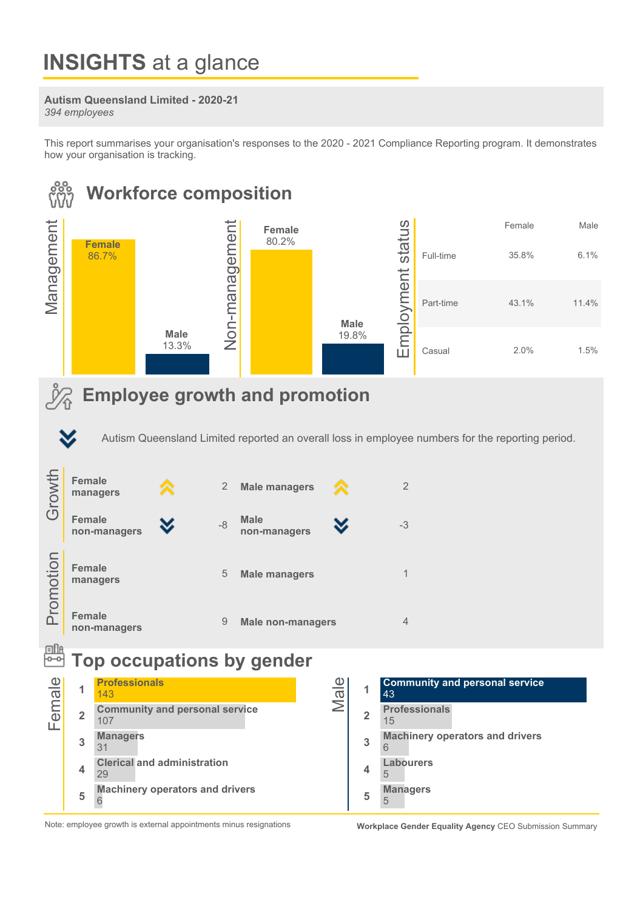# **INSIGHTS** at a glance

### Autism Queensland Limited - 2020-21

394employees

This report summarises your organisation's responses to the 2020 - 2021 Compliance Reporting program. It demonstrates how your organisation is tracking.



Note: employee growth is external appointments minus resignations Workplace Gender Equality Agency CEO Submission Summary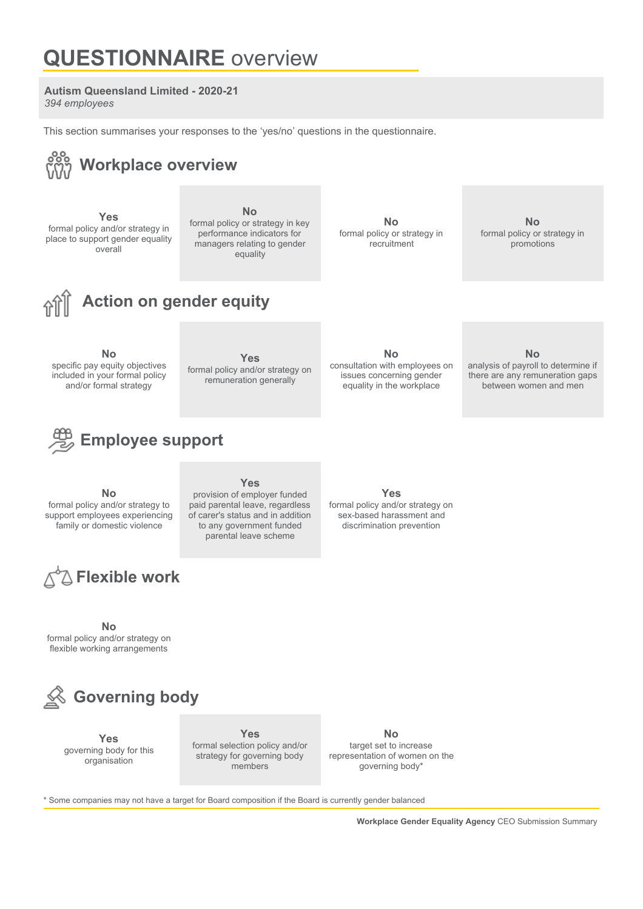## **QUESTIONNAIRE** overview

### **Autism Queensland Limited - 2020-21**

394 employees

This section summarises your responses to the 'yes/no' questions in the questionnaire.



\* Some companies may not have a target for Board composition if the Board is currently gender balanced

Workplace Gender Equality Agency CEO Submission Summary